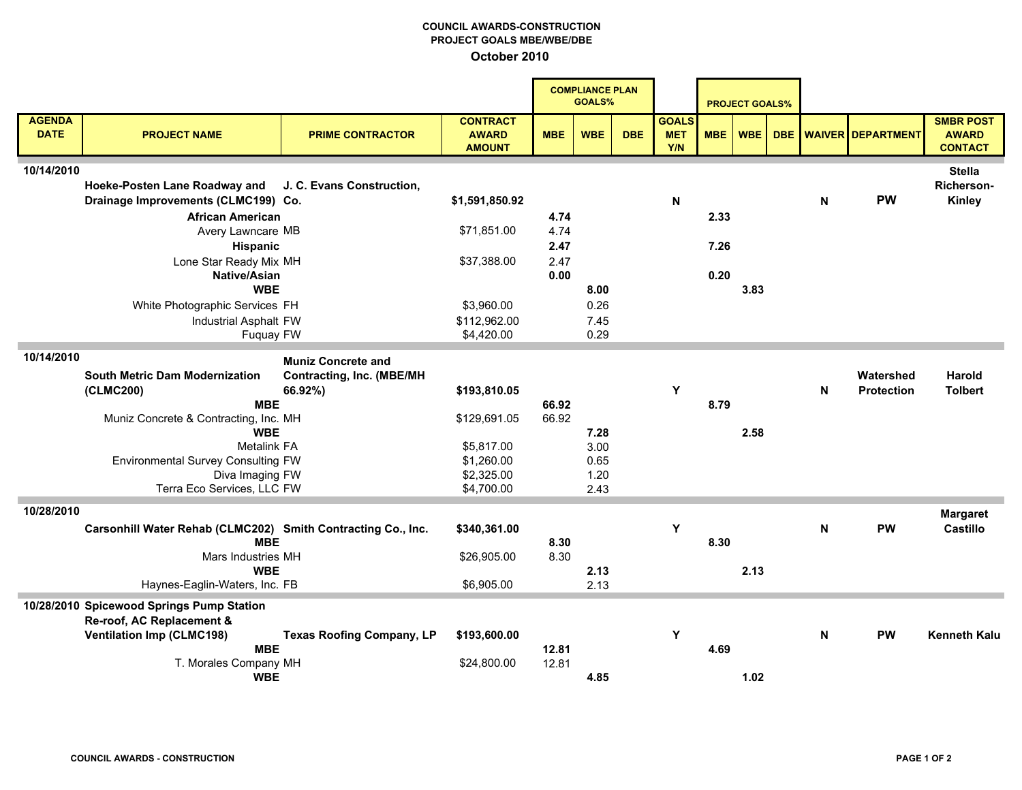## COUNCIL AWARDS-CONSTRUCTION PROJECT GOALS MBE/WBE/DBE October 2010

à.

|                              |                                                              |                                  |                                                  | <b>COMPLIANCE PLAN</b><br><b>GOALS%</b> |            |            | <b>PROJECT GOALS%</b>             |            |            |            |             |                          |                                                    |
|------------------------------|--------------------------------------------------------------|----------------------------------|--------------------------------------------------|-----------------------------------------|------------|------------|-----------------------------------|------------|------------|------------|-------------|--------------------------|----------------------------------------------------|
| <b>AGENDA</b><br><b>DATE</b> | <b>PROJECT NAME</b>                                          | <b>PRIME CONTRACTOR</b>          | <b>CONTRACT</b><br><b>AWARD</b><br><b>AMOUNT</b> | <b>MBE</b>                              | <b>WBE</b> | <b>DBE</b> | <b>GOALS</b><br><b>MET</b><br>Y/N | <b>MBE</b> | <b>WBE</b> | <b>DBE</b> |             | <b>WAIVER DEPARTMENT</b> | <b>SMBR POST</b><br><b>AWARD</b><br><b>CONTACT</b> |
| 10/14/2010                   |                                                              |                                  |                                                  |                                         |            |            |                                   |            |            |            |             |                          | <b>Stella</b>                                      |
|                              | Hoeke-Posten Lane Roadway and                                | J. C. Evans Construction,        |                                                  |                                         |            |            |                                   |            |            |            |             |                          | Richerson-                                         |
|                              | Drainage Improvements (CLMC199) Co.                          |                                  | \$1,591,850.92                                   |                                         |            |            | N                                 |            |            |            | $\mathbf N$ | <b>PW</b>                | Kinley                                             |
|                              | <b>African American</b>                                      |                                  |                                                  | 4.74                                    |            |            |                                   | 2.33       |            |            |             |                          |                                                    |
|                              | Avery Lawncare MB                                            |                                  | \$71,851.00                                      | 4.74                                    |            |            |                                   |            |            |            |             |                          |                                                    |
|                              | Hispanic                                                     |                                  |                                                  | 2.47                                    |            |            |                                   | 7.26       |            |            |             |                          |                                                    |
|                              | Lone Star Ready Mix MH                                       |                                  | \$37,388.00                                      | 2.47                                    |            |            |                                   |            |            |            |             |                          |                                                    |
|                              | <b>Native/Asian</b>                                          |                                  |                                                  | 0.00                                    |            |            |                                   | 0.20       |            |            |             |                          |                                                    |
|                              | <b>WBE</b>                                                   |                                  |                                                  |                                         | 8.00       |            |                                   |            | 3.83       |            |             |                          |                                                    |
|                              | White Photographic Services FH                               |                                  | \$3,960.00                                       |                                         | 0.26       |            |                                   |            |            |            |             |                          |                                                    |
|                              | Industrial Asphalt FW                                        |                                  | \$112,962.00                                     |                                         | 7.45       |            |                                   |            |            |            |             |                          |                                                    |
|                              | Fuquay FW                                                    |                                  | \$4,420.00                                       |                                         | 0.29       |            |                                   |            |            |            |             |                          |                                                    |
| 10/14/2010                   |                                                              | <b>Muniz Concrete and</b>        |                                                  |                                         |            |            |                                   |            |            |            |             |                          |                                                    |
|                              | <b>South Metric Dam Modernization</b>                        | <b>Contracting, Inc. (MBE/MH</b> |                                                  |                                         |            |            |                                   |            |            |            |             | Watershed                | <b>Harold</b>                                      |
|                              | (CLMC200)                                                    | 66.92%)                          | \$193,810.05                                     |                                         |            |            | Y                                 |            |            |            | N           | <b>Protection</b>        | <b>Tolbert</b>                                     |
|                              | <b>MBE</b>                                                   |                                  |                                                  | 66.92                                   |            |            |                                   | 8.79       |            |            |             |                          |                                                    |
|                              | Muniz Concrete & Contracting, Inc. MH                        |                                  | \$129,691.05                                     | 66.92                                   |            |            |                                   |            |            |            |             |                          |                                                    |
|                              | <b>WBE</b>                                                   |                                  |                                                  |                                         | 7.28       |            |                                   |            | 2.58       |            |             |                          |                                                    |
|                              | <b>Metalink FA</b>                                           |                                  | \$5,817.00                                       |                                         | 3.00       |            |                                   |            |            |            |             |                          |                                                    |
|                              | <b>Environmental Survey Consulting FW</b>                    |                                  | \$1,260.00                                       |                                         | 0.65       |            |                                   |            |            |            |             |                          |                                                    |
|                              | Diva Imaging FW                                              |                                  | \$2,325.00                                       |                                         | 1.20       |            |                                   |            |            |            |             |                          |                                                    |
|                              | Terra Eco Services, LLC FW                                   |                                  | \$4,700.00                                       |                                         | 2.43       |            |                                   |            |            |            |             |                          |                                                    |
| 10/28/2010                   |                                                              |                                  |                                                  |                                         |            |            |                                   |            |            |            |             |                          | <b>Margaret</b>                                    |
|                              | Carsonhill Water Rehab (CLMC202) Smith Contracting Co., Inc. |                                  | \$340,361.00                                     |                                         |            |            | Y                                 |            |            |            | N           | <b>PW</b>                | <b>Castillo</b>                                    |
|                              | <b>MBE</b>                                                   |                                  |                                                  | 8.30                                    |            |            |                                   | 8.30       |            |            |             |                          |                                                    |
|                              | Mars Industries MH                                           |                                  | \$26,905.00                                      | 8.30                                    |            |            |                                   |            |            |            |             |                          |                                                    |
|                              | <b>WBE</b>                                                   |                                  |                                                  |                                         | 2.13       |            |                                   |            | 2.13       |            |             |                          |                                                    |
|                              | Haynes-Eaglin-Waters, Inc. FB                                |                                  | \$6,905.00                                       |                                         | 2.13       |            |                                   |            |            |            |             |                          |                                                    |
|                              | 10/28/2010 Spicewood Springs Pump Station                    |                                  |                                                  |                                         |            |            |                                   |            |            |            |             |                          |                                                    |
|                              | Re-roof, AC Replacement &                                    |                                  |                                                  |                                         |            |            |                                   |            |            |            |             |                          |                                                    |
|                              | <b>Ventilation Imp (CLMC198)</b>                             | <b>Texas Roofing Company, LP</b> | \$193,600.00                                     |                                         |            |            | Y                                 |            |            |            | N           | <b>PW</b>                | <b>Kenneth Kalu</b>                                |
|                              | <b>MBE</b>                                                   |                                  |                                                  | 12.81                                   |            |            |                                   | 4.69       |            |            |             |                          |                                                    |
|                              | T. Morales Company MH                                        |                                  | \$24,800.00                                      | 12.81                                   |            |            |                                   |            |            |            |             |                          |                                                    |
|                              | <b>WBE</b>                                                   |                                  |                                                  |                                         | 4.85       |            |                                   |            | 1.02       |            |             |                          |                                                    |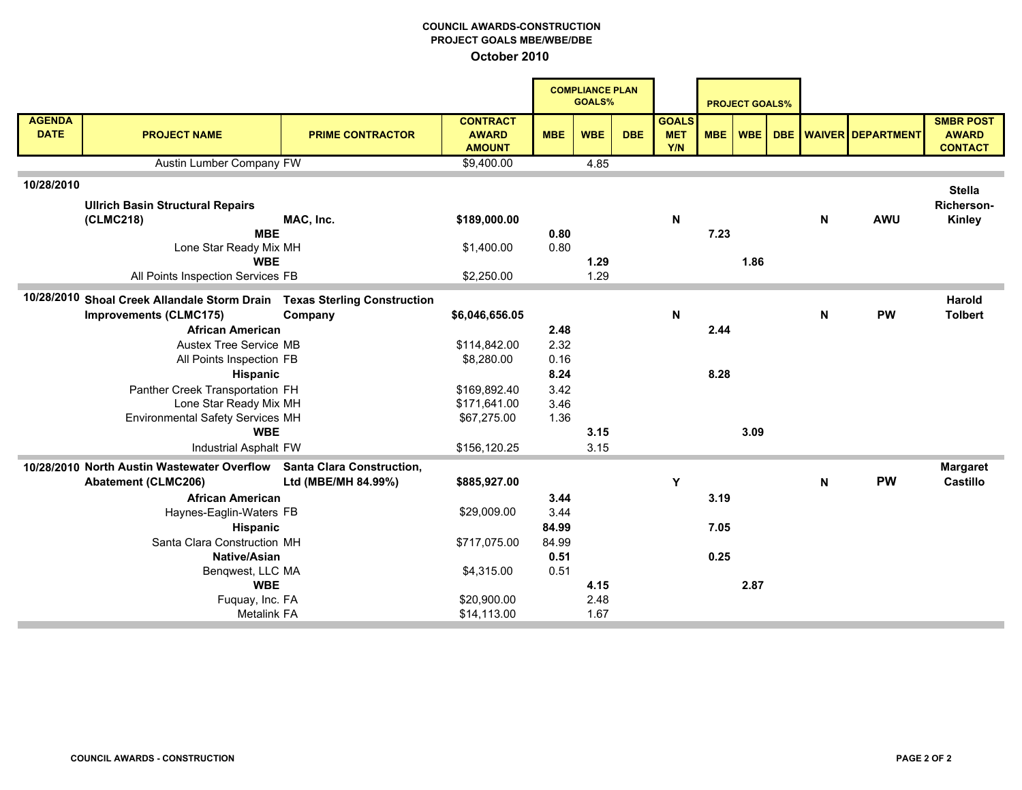## COUNCIL AWARDS-CONSTRUCTION PROJECT GOALS MBE/WBE/DBE October 2010

|                              |                                                                          |                         |                                                  |            | <b>COMPLIANCE PLAN</b><br><b>GOALS%</b> |            |                                   |            | <b>PROJECT GOALS%</b> |     |   |                          |                                                    |
|------------------------------|--------------------------------------------------------------------------|-------------------------|--------------------------------------------------|------------|-----------------------------------------|------------|-----------------------------------|------------|-----------------------|-----|---|--------------------------|----------------------------------------------------|
| <b>AGENDA</b><br><b>DATE</b> | <b>PROJECT NAME</b>                                                      | <b>PRIME CONTRACTOR</b> | <b>CONTRACT</b><br><b>AWARD</b><br><b>AMOUNT</b> | <b>MBE</b> | <b>WBE</b>                              | <b>DBE</b> | <b>GOALS</b><br><b>MET</b><br>Y/N | <b>MBE</b> | WBE                   | DBE |   | <b>WAIVER DEPARTMENT</b> | <b>SMBR POST</b><br><b>AWARD</b><br><b>CONTACT</b> |
|                              | Austin Lumber Company FW                                                 |                         | \$9,400.00                                       |            | 4.85                                    |            |                                   |            |                       |     |   |                          |                                                    |
| 10/28/2010                   |                                                                          |                         |                                                  |            |                                         |            |                                   |            |                       |     |   |                          |                                                    |
|                              | <b>Ullrich Basin Structural Repairs</b>                                  |                         |                                                  |            |                                         |            |                                   |            |                       |     |   |                          | <b>Stella</b><br><b>Richerson-</b>                 |
|                              | (CLMC218)                                                                | MAC, Inc.               | \$189,000.00                                     |            |                                         |            | N                                 |            |                       |     | N | <b>AWU</b>               | Kinley                                             |
|                              | <b>MBE</b>                                                               |                         |                                                  | 0.80       |                                         |            |                                   | 7.23       |                       |     |   |                          |                                                    |
|                              | Lone Star Ready Mix MH                                                   |                         | \$1,400.00                                       | 0.80       |                                         |            |                                   |            |                       |     |   |                          |                                                    |
|                              | <b>WBE</b>                                                               |                         |                                                  |            | 1.29                                    |            |                                   |            | 1.86                  |     |   |                          |                                                    |
|                              | All Points Inspection Services FB                                        |                         | \$2,250.00                                       |            | 1.29                                    |            |                                   |            |                       |     |   |                          |                                                    |
|                              | 10/28/2010 Shoal Creek Allandale Storm Drain Texas Sterling Construction |                         |                                                  |            |                                         |            |                                   |            |                       |     |   |                          | Harold                                             |
|                              | <b>Improvements (CLMC175)</b>                                            | Company                 | \$6,046,656.05                                   |            |                                         |            | N                                 |            |                       |     | N | <b>PW</b>                | <b>Tolbert</b>                                     |
|                              | <b>African American</b>                                                  |                         |                                                  | 2.48       |                                         |            |                                   | 2.44       |                       |     |   |                          |                                                    |
|                              | Austex Tree Service MB                                                   |                         | \$114,842.00                                     | 2.32       |                                         |            |                                   |            |                       |     |   |                          |                                                    |
|                              | All Points Inspection FB                                                 |                         | \$8,280.00                                       | 0.16       |                                         |            |                                   |            |                       |     |   |                          |                                                    |
|                              | Hispanic                                                                 |                         |                                                  | 8.24       |                                         |            |                                   | 8.28       |                       |     |   |                          |                                                    |
|                              | Panther Creek Transportation FH                                          |                         | \$169,892.40                                     | 3.42       |                                         |            |                                   |            |                       |     |   |                          |                                                    |
|                              | Lone Star Ready Mix MH                                                   |                         | \$171,641.00                                     | 3.46       |                                         |            |                                   |            |                       |     |   |                          |                                                    |
|                              | Environmental Safety Services MH                                         |                         | \$67,275.00                                      | 1.36       |                                         |            |                                   |            |                       |     |   |                          |                                                    |
|                              | <b>WBE</b>                                                               |                         |                                                  |            | 3.15                                    |            |                                   |            | 3.09                  |     |   |                          |                                                    |
|                              | Industrial Asphalt FW                                                    |                         | \$156,120.25                                     |            | 3.15                                    |            |                                   |            |                       |     |   |                          |                                                    |
|                              | 10/28/2010 North Austin Wastewater Overflow Santa Clara Construction,    |                         |                                                  |            |                                         |            |                                   |            |                       |     |   |                          | <b>Margaret</b>                                    |
|                              | <b>Abatement (CLMC206)</b>                                               | Ltd (MBE/MH 84.99%)     | \$885,927.00                                     |            |                                         |            | Y                                 |            |                       |     | N | <b>PW</b>                | <b>Castillo</b>                                    |
|                              | <b>African American</b>                                                  |                         |                                                  | 3.44       |                                         |            |                                   | 3.19       |                       |     |   |                          |                                                    |
|                              | Haynes-Eaglin-Waters FB                                                  |                         | \$29,009.00                                      | 3.44       |                                         |            |                                   |            |                       |     |   |                          |                                                    |
|                              | Hispanic                                                                 |                         |                                                  | 84.99      |                                         |            |                                   | 7.05       |                       |     |   |                          |                                                    |
|                              | Santa Clara Construction MH                                              |                         | \$717,075.00                                     | 84.99      |                                         |            |                                   |            |                       |     |   |                          |                                                    |
| <b>Native/Asian</b>          |                                                                          |                         |                                                  | 0.51       |                                         |            |                                   | 0.25       |                       |     |   |                          |                                                    |
| Benqwest, LLC MA             |                                                                          |                         | \$4,315.00                                       | 0.51       |                                         |            |                                   |            |                       |     |   |                          |                                                    |
| <b>WBE</b>                   |                                                                          |                         |                                                  |            | 4.15                                    |            |                                   |            | 2.87                  |     |   |                          |                                                    |
|                              | Fuquay, Inc. FA<br><b>Metalink FA</b>                                    |                         | \$20,900.00<br>\$14,113.00                       |            | 2.48<br>1.67                            |            |                                   |            |                       |     |   |                          |                                                    |
|                              |                                                                          |                         |                                                  |            |                                         |            |                                   |            |                       |     |   |                          |                                                    |